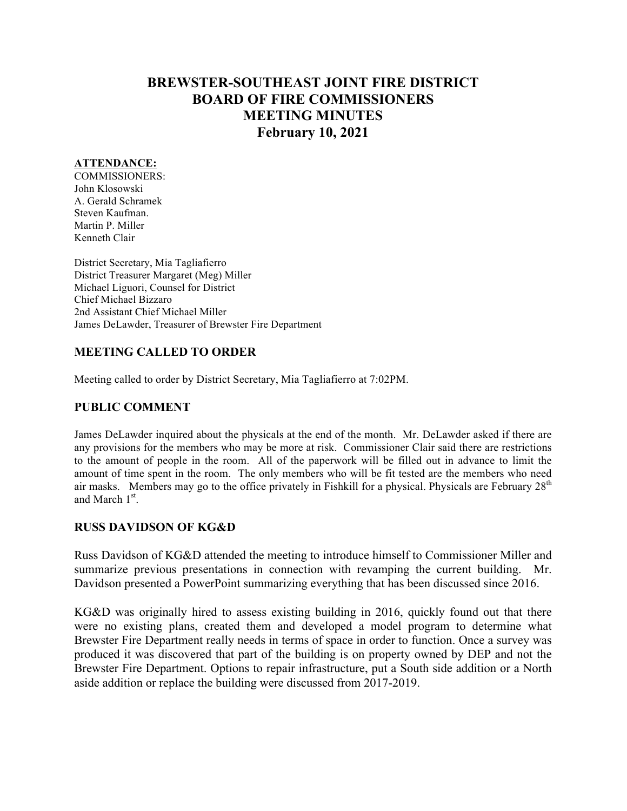# **BREWSTER-SOUTHEAST JOINT FIRE DISTRICT BOARD OF FIRE COMMISSIONERS MEETING MINUTES February 10, 2021**

#### **ATTENDANCE:**

COMMISSIONERS: John Klosowski A. Gerald Schramek Steven Kaufman. Martin P. Miller Kenneth Clair

District Secretary, Mia Tagliafierro District Treasurer Margaret (Meg) Miller Michael Liguori, Counsel for District Chief Michael Bizzaro 2nd Assistant Chief Michael Miller James DeLawder, Treasurer of Brewster Fire Department

### **MEETING CALLED TO ORDER**

Meeting called to order by District Secretary, Mia Tagliafierro at 7:02PM.

### **PUBLIC COMMENT**

James DeLawder inquired about the physicals at the end of the month. Mr. DeLawder asked if there are any provisions for the members who may be more at risk. Commissioner Clair said there are restrictions to the amount of people in the room. All of the paperwork will be filled out in advance to limit the amount of time spent in the room. The only members who will be fit tested are the members who need air masks. Members may go to the office privately in Fishkill for a physical. Physicals are February  $28<sup>th</sup>$ and March  $1<sup>st</sup>$ .

# **RUSS DAVIDSON OF KG&D**

Russ Davidson of KG&D attended the meeting to introduce himself to Commissioner Miller and summarize previous presentations in connection with revamping the current building. Mr. Davidson presented a PowerPoint summarizing everything that has been discussed since 2016.

KG&D was originally hired to assess existing building in 2016, quickly found out that there were no existing plans, created them and developed a model program to determine what Brewster Fire Department really needs in terms of space in order to function. Once a survey was produced it was discovered that part of the building is on property owned by DEP and not the Brewster Fire Department. Options to repair infrastructure, put a South side addition or a North aside addition or replace the building were discussed from 2017-2019.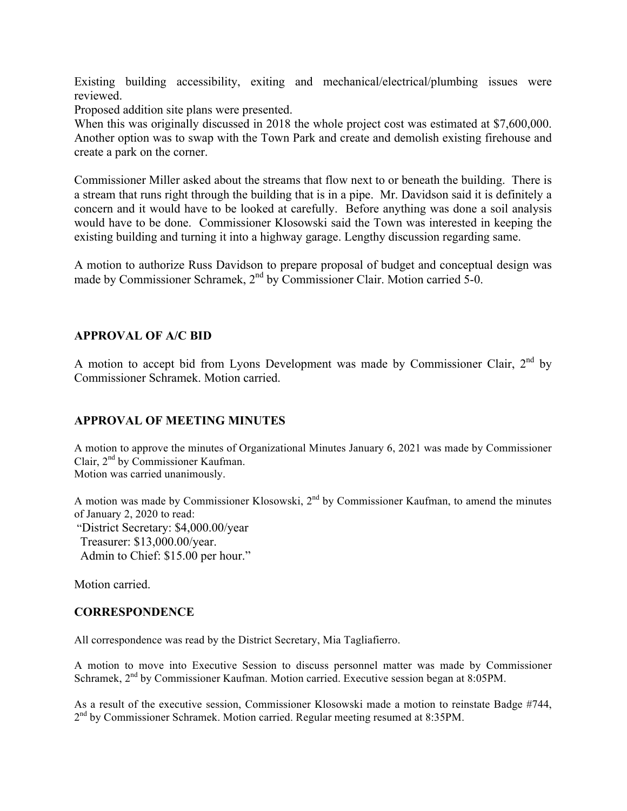Existing building accessibility, exiting and mechanical/electrical/plumbing issues were reviewed.

Proposed addition site plans were presented.

When this was originally discussed in 2018 the whole project cost was estimated at \$7,600,000. Another option was to swap with the Town Park and create and demolish existing firehouse and create a park on the corner.

Commissioner Miller asked about the streams that flow next to or beneath the building. There is a stream that runs right through the building that is in a pipe. Mr. Davidson said it is definitely a concern and it would have to be looked at carefully. Before anything was done a soil analysis would have to be done. Commissioner Klosowski said the Town was interested in keeping the existing building and turning it into a highway garage. Lengthy discussion regarding same.

A motion to authorize Russ Davidson to prepare proposal of budget and conceptual design was made by Commissioner Schramek, 2<sup>nd</sup> by Commissioner Clair. Motion carried 5-0.

### **APPROVAL OF A/C BID**

A motion to accept bid from Lyons Development was made by Commissioner Clair,  $2<sup>nd</sup>$  by Commissioner Schramek. Motion carried.

### **APPROVAL OF MEETING MINUTES**

A motion to approve the minutes of Organizational Minutes January 6, 2021 was made by Commissioner Clair,  $2<sup>nd</sup>$  by Commissioner Kaufman. Motion was carried unanimously.

A motion was made by Commissioner Klosowski,  $2<sup>nd</sup>$  by Commissioner Kaufman, to amend the minutes of January 2, 2020 to read:

"District Secretary: \$4,000.00/year Treasurer: \$13,000.00/year.

Admin to Chief: \$15.00 per hour."

Motion carried.

### **CORRESPONDENCE**

All correspondence was read by the District Secretary, Mia Tagliafierro.

A motion to move into Executive Session to discuss personnel matter was made by Commissioner Schramek,  $2^{nd}$  by Commissioner Kaufman. Motion carried. Executive session began at 8:05PM.

As a result of the executive session, Commissioner Klosowski made a motion to reinstate Badge #744, 2nd by Commissioner Schramek. Motion carried. Regular meeting resumed at 8:35PM.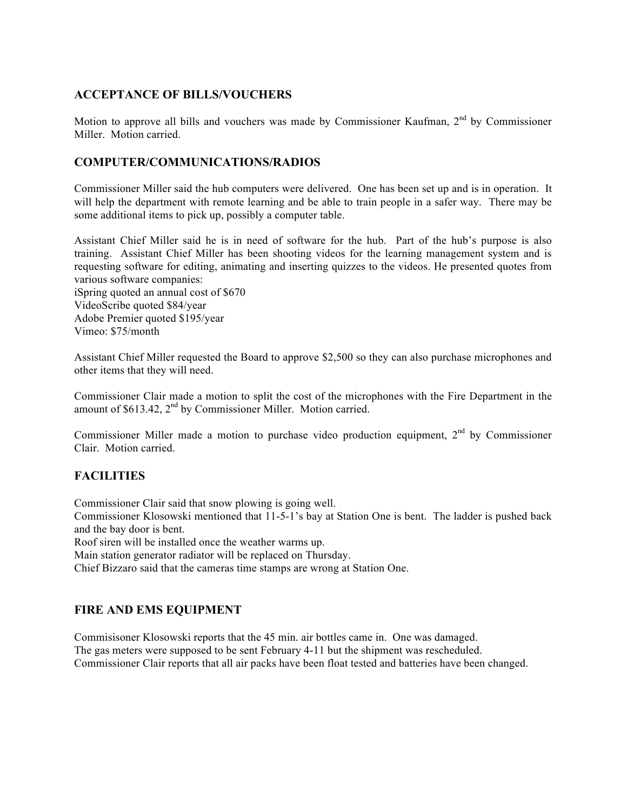### **ACCEPTANCE OF BILLS/VOUCHERS**

Motion to approve all bills and vouchers was made by Commissioner Kaufman, 2<sup>nd</sup> by Commissioner Miller. Motion carried.

### **COMPUTER/COMMUNICATIONS/RADIOS**

Commissioner Miller said the hub computers were delivered. One has been set up and is in operation. It will help the department with remote learning and be able to train people in a safer way. There may be some additional items to pick up, possibly a computer table.

Assistant Chief Miller said he is in need of software for the hub. Part of the hub's purpose is also training. Assistant Chief Miller has been shooting videos for the learning management system and is requesting software for editing, animating and inserting quizzes to the videos. He presented quotes from various software companies:

iSpring quoted an annual cost of \$670 VideoScribe quoted \$84/year Adobe Premier quoted \$195/year Vimeo: \$75/month

Assistant Chief Miller requested the Board to approve \$2,500 so they can also purchase microphones and other items that they will need.

Commissioner Clair made a motion to split the cost of the microphones with the Fire Department in the amount of  $$613.42$ ,  $2<sup>nd</sup>$  by Commissioner Miller. Motion carried.

Commissioner Miller made a motion to purchase video production equipment, 2<sup>nd</sup> by Commissioner Clair. Motion carried.

# **FACILITIES**

Commissioner Clair said that snow plowing is going well.

Commissioner Klosowski mentioned that 11-5-1's bay at Station One is bent. The ladder is pushed back and the bay door is bent.

Roof siren will be installed once the weather warms up.

Main station generator radiator will be replaced on Thursday.

Chief Bizzaro said that the cameras time stamps are wrong at Station One.

# **FIRE AND EMS EQUIPMENT**

Commisisoner Klosowski reports that the 45 min. air bottles came in. One was damaged. The gas meters were supposed to be sent February 4-11 but the shipment was rescheduled. Commissioner Clair reports that all air packs have been float tested and batteries have been changed.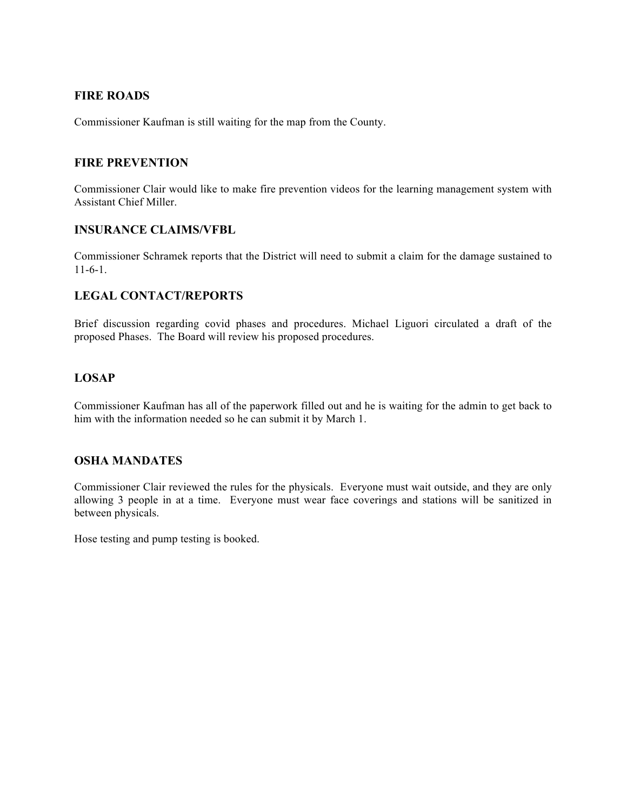### **FIRE ROADS**

Commissioner Kaufman is still waiting for the map from the County.

#### **FIRE PREVENTION**

Commissioner Clair would like to make fire prevention videos for the learning management system with Assistant Chief Miller.

#### **INSURANCE CLAIMS/VFBL**

Commissioner Schramek reports that the District will need to submit a claim for the damage sustained to 11-6-1.

### **LEGAL CONTACT/REPORTS**

Brief discussion regarding covid phases and procedures. Michael Liguori circulated a draft of the proposed Phases. The Board will review his proposed procedures.

# **LOSAP**

Commissioner Kaufman has all of the paperwork filled out and he is waiting for the admin to get back to him with the information needed so he can submit it by March 1.

### **OSHA MANDATES**

Commissioner Clair reviewed the rules for the physicals. Everyone must wait outside, and they are only allowing 3 people in at a time. Everyone must wear face coverings and stations will be sanitized in between physicals.

Hose testing and pump testing is booked.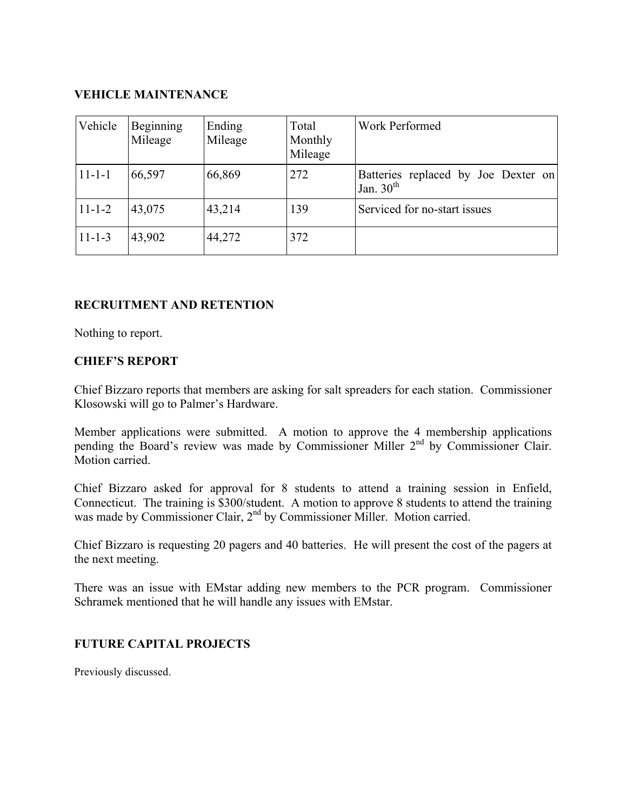# **VEHICLE MAINTENANCE**

| Vehicle      | Beginning<br>Mileage | Ending<br>Mileage | Total<br>Monthly<br>Mileage | Work Performed                                     |
|--------------|----------------------|-------------------|-----------------------------|----------------------------------------------------|
| $11 - 1 - 1$ | 66,597               | 66,869            | 272                         | Batteries replaced by Joe Dexter on<br>Jan. $30th$ |
| $11 - 1 - 2$ | 43,075               | 43,214            | 139                         | Serviced for no-start issues                       |
| $11 - 1 - 3$ | 43,902               | 44,272            | 372                         |                                                    |

# **RECRUITMENT AND RETENTION**

Nothing to report.

# **CHIEF'S REPORT**

Chief Bizzaro reports that members are asking for salt spreaders for each station. Commissioner Klosowski will go to Palmer's Hardware.

Member applications were submitted. A motion to approve the 4 membership applications pending the Board's review was made by Commissioner Miller 2<sup>nd</sup> by Commissioner Clair. Motion carried.

Chief Bizzaro asked for approval for 8 students to attend a training session in Enfield, Connecticut. The training is \$300/student. A motion to approve 8 students to attend the training was made by Commissioner Clair, 2<sup>nd</sup> by Commissioner Miller. Motion carried.

Chief Bizzaro is requesting 20 pagers and 40 batteries. He will present the cost of the pagers at the next meeting.

There was an issue with EMstar adding new members to the PCR program. Commissioner Schramek mentioned that he will handle any issues with EMstar.

# **FUTURE CAPITAL PROJECTS**

Previously discussed.